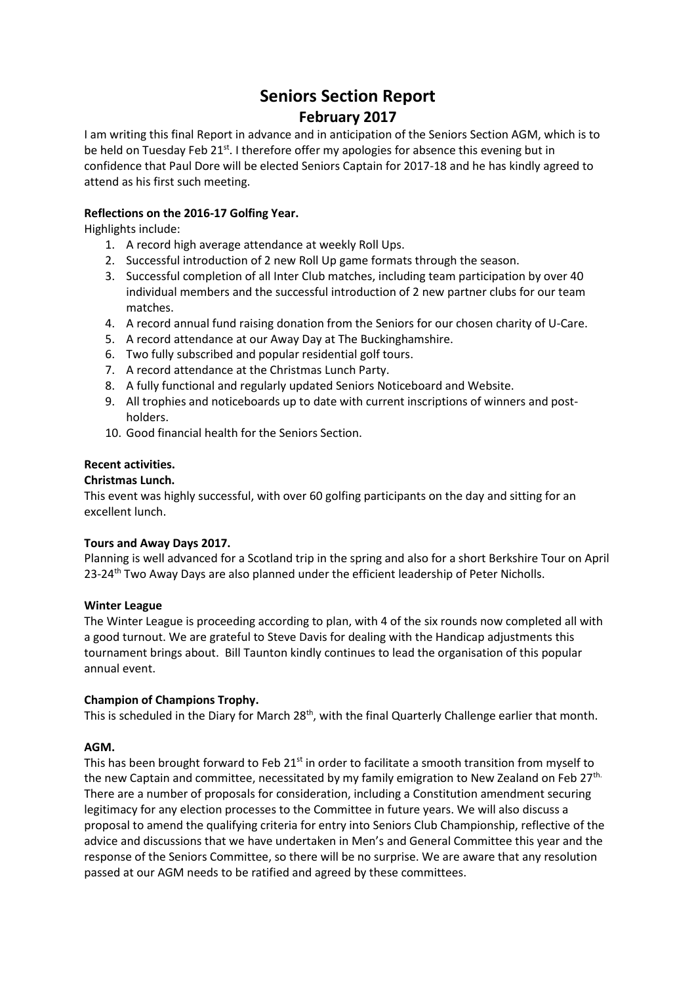# **Seniors Section Report**

## **February 2017**

I am writing this final Report in advance and in anticipation of the Seniors Section AGM, which is to be held on Tuesday Feb  $21^{st}$ . I therefore offer my apologies for absence this evening but in confidence that Paul Dore will be elected Seniors Captain for 2017-18 and he has kindly agreed to attend as his first such meeting.

### **Reflections on the 2016-17 Golfing Year.**

Highlights include:

- 1. A record high average attendance at weekly Roll Ups.
- 2. Successful introduction of 2 new Roll Up game formats through the season.
- 3. Successful completion of all Inter Club matches, including team participation by over 40 individual members and the successful introduction of 2 new partner clubs for our team matches.
- 4. A record annual fund raising donation from the Seniors for our chosen charity of U-Care.
- 5. A record attendance at our Away Day at The Buckinghamshire.
- 6. Two fully subscribed and popular residential golf tours.
- 7. A record attendance at the Christmas Lunch Party.
- 8. A fully functional and regularly updated Seniors Noticeboard and Website.
- 9. All trophies and noticeboards up to date with current inscriptions of winners and postholders.
- 10. Good financial health for the Seniors Section.

#### **Recent activities.**

#### **Christmas Lunch.**

This event was highly successful, with over 60 golfing participants on the day and sitting for an excellent lunch.

#### **Tours and Away Days 2017.**

Planning is well advanced for a Scotland trip in the spring and also for a short Berkshire Tour on April 23-24<sup>th</sup> Two Away Days are also planned under the efficient leadership of Peter Nicholls.

#### **Winter League**

The Winter League is proceeding according to plan, with 4 of the six rounds now completed all with a good turnout. We are grateful to Steve Davis for dealing with the Handicap adjustments this tournament brings about. Bill Taunton kindly continues to lead the organisation of this popular annual event.

#### **Champion of Champions Trophy.**

This is scheduled in the Diary for March 28<sup>th</sup>, with the final Quarterly Challenge earlier that month.

#### **AGM.**

This has been brought forward to Feb 21<sup>st</sup> in order to facilitate a smooth transition from myself to the new Captain and committee, necessitated by my family emigration to New Zealand on Feb 27th. There are a number of proposals for consideration, including a Constitution amendment securing legitimacy for any election processes to the Committee in future years. We will also discuss a proposal to amend the qualifying criteria for entry into Seniors Club Championship, reflective of the advice and discussions that we have undertaken in Men's and General Committee this year and the response of the Seniors Committee, so there will be no surprise. We are aware that any resolution passed at our AGM needs to be ratified and agreed by these committees.